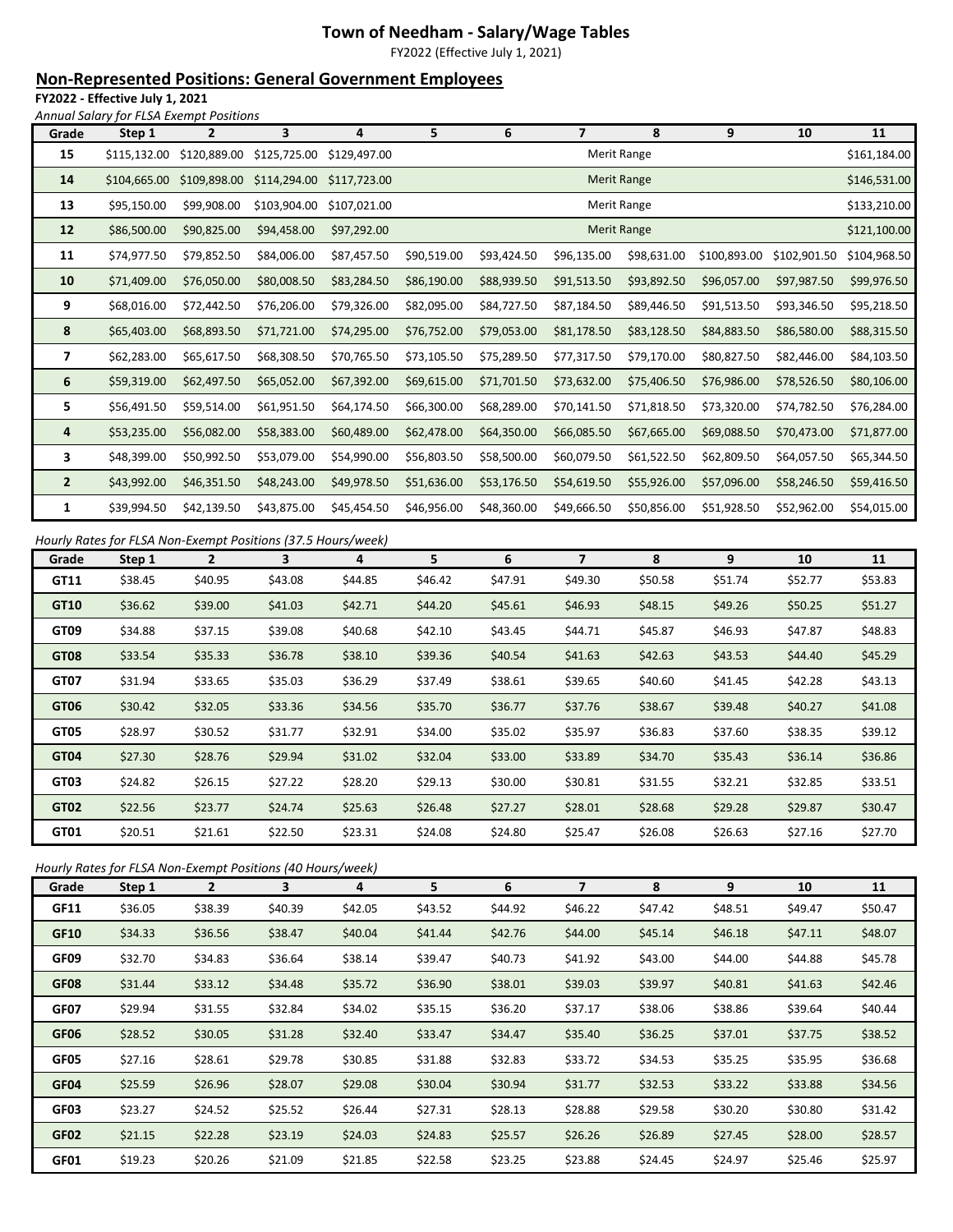# **Town of Needham - Salary/Wage Tables**

FY2022 (Effective July 1, 2021)

# **Non-Represented Positions: General Government Employees**

**FY2022 - Effective July 1, 2021** *Annual Salary for FLSA Exempt Positions*

| Grade          | Step 1       | $\overline{2}$ | 3            | 4            | 5           | 6                  | $\overline{7}$ | 8                  | 9            | 10           | 11           |
|----------------|--------------|----------------|--------------|--------------|-------------|--------------------|----------------|--------------------|--------------|--------------|--------------|
| 15             | \$115,132.00 | \$120,889.00   | \$125,725.00 | \$129,497.00 |             |                    |                | Merit Range        |              |              | \$161,184.00 |
| 14             | \$104,665.00 | \$109,898.00   | \$114,294.00 | \$117,723.00 |             |                    |                | <b>Merit Range</b> |              |              | \$146,531.00 |
| 13             | \$95,150.00  | \$99,908.00    | \$103,904.00 | \$107,021.00 |             |                    |                | Merit Range        |              |              | \$133,210.00 |
| 12             | \$86,500.00  | \$90,825.00    | \$94,458.00  | \$97,292.00  |             | <b>Merit Range</b> |                |                    |              |              |              |
| 11             | \$74,977.50  | \$79,852.50    | \$84,006.00  | \$87,457.50  | \$90,519.00 | \$93,424.50        | \$96,135.00    | \$98,631.00        | \$100,893.00 | \$102,901.50 | \$104,968.50 |
| 10             | \$71,409.00  | \$76,050.00    | \$80,008.50  | \$83,284.50  | \$86,190.00 | \$88,939.50        | \$91,513.50    | \$93,892.50        | \$96,057.00  | \$97,987.50  | \$99,976.50  |
| 9              | \$68,016.00  | \$72,442.50    | \$76,206.00  | \$79,326.00  | \$82,095.00 | \$84,727.50        | \$87,184.50    | \$89,446.50        | \$91,513.50  | \$93,346.50  | \$95,218.50  |
| 8              | \$65,403.00  | \$68,893.50    | \$71,721.00  | \$74,295.00  | \$76,752.00 | \$79,053.00        | \$81,178.50    | \$83,128.50        | \$84,883.50  | \$86,580.00  | \$88,315.50  |
| $\overline{7}$ | \$62,283.00  | \$65,617.50    | \$68,308.50  | \$70,765.50  | \$73,105.50 | \$75,289.50        | \$77,317.50    | \$79,170.00        | \$80,827.50  | \$82,446.00  | \$84,103.50  |
| 6              | \$59,319.00  | \$62,497.50    | \$65,052.00  | \$67,392.00  | \$69,615.00 | \$71,701.50        | \$73,632.00    | \$75,406.50        | \$76,986.00  | \$78,526.50  | \$80,106.00  |
| 5              | \$56,491.50  | \$59,514.00    | \$61,951.50  | \$64,174.50  | \$66,300.00 | \$68,289.00        | \$70,141.50    | \$71,818.50        | \$73,320.00  | \$74,782.50  | \$76,284.00  |
| 4              | \$53,235.00  | \$56,082.00    | \$58,383.00  | \$60,489.00  | \$62,478.00 | \$64,350.00        | \$66,085.50    | \$67,665.00        | \$69,088.50  | \$70,473.00  | \$71,877.00  |
| 3              | \$48,399.00  | \$50,992.50    | \$53,079.00  | \$54,990.00  | \$56,803.50 | \$58,500.00        | \$60,079.50    | \$61,522.50        | \$62,809.50  | \$64,057.50  | \$65,344.50  |
| $\overline{2}$ | \$43,992.00  | \$46,351.50    | \$48,243.00  | \$49,978.50  | \$51,636.00 | \$53,176.50        | \$54,619.50    | \$55,926.00        | \$57,096.00  | \$58,246.50  | \$59,416.50  |
| 1              | \$39,994.50  | \$42,139.50    | \$43,875.00  | \$45,454.50  | \$46,956.00 | \$48,360.00        | \$49,666.50    | \$50,856.00        | \$51,928.50  | \$52,962.00  | \$54,015.00  |

#### *Hourly Rates for FLSA Non-Exempt Positions (37.5 Hours/week)*

| Grade       | Step 1  | $\overline{2}$ | 3       | 4       | 5.      | 6       | 7       | 8       | 9       | 10      | 11      |
|-------------|---------|----------------|---------|---------|---------|---------|---------|---------|---------|---------|---------|
| GT11        | \$38.45 | \$40.95        | \$43.08 | \$44.85 | \$46.42 | \$47.91 | \$49.30 | \$50.58 | \$51.74 | \$52.77 | \$53.83 |
| GT10        | \$36.62 | \$39.00        | \$41.03 | \$42.71 | \$44.20 | \$45.61 | \$46.93 | \$48.15 | \$49.26 | \$50.25 | \$51.27 |
| GT09        | \$34.88 | \$37.15        | \$39.08 | \$40.68 | \$42.10 | \$43.45 | \$44.71 | \$45.87 | \$46.93 | \$47.87 | \$48.83 |
| <b>GT08</b> | \$33.54 | \$35.33        | \$36.78 | \$38.10 | \$39.36 | \$40.54 | \$41.63 | \$42.63 | \$43.53 | \$44.40 | \$45.29 |
| <b>GT07</b> | \$31.94 | \$33.65        | \$35.03 | \$36.29 | \$37.49 | \$38.61 | \$39.65 | \$40.60 | \$41.45 | \$42.28 | \$43.13 |
| GT06        | \$30.42 | \$32.05        | \$33.36 | \$34.56 | \$35.70 | \$36.77 | \$37.76 | \$38.67 | \$39.48 | \$40.27 | \$41.08 |
| GT05        | \$28.97 | \$30.52        | \$31.77 | \$32.91 | \$34.00 | \$35.02 | \$35.97 | \$36.83 | \$37.60 | \$38.35 | \$39.12 |
| GT04        | \$27.30 | \$28.76        | \$29.94 | \$31.02 | \$32.04 | \$33.00 | \$33.89 | \$34.70 | \$35.43 | \$36.14 | \$36.86 |
| GT03        | \$24.82 | \$26.15        | \$27.22 | \$28.20 | \$29.13 | \$30.00 | \$30.81 | \$31.55 | \$32.21 | \$32.85 | \$33.51 |
| GT02        | \$22.56 | \$23.77        | \$24.74 | \$25.63 | \$26.48 | \$27.27 | \$28.01 | \$28.68 | \$29.28 | \$29.87 | \$30.47 |
| GT01        | \$20.51 | \$21.61        | \$22.50 | \$23.31 | \$24.08 | \$24.80 | \$25.47 | \$26.08 | \$26.63 | \$27.16 | \$27.70 |

### *Hourly Rates for FLSA Non-Exempt Positions (40 Hours/week)*

| Grade       | Step 1  | $\overline{2}$ | 3       | 4       | 5       | 6       | 7       | 8       | 9       | 10      | 11      |
|-------------|---------|----------------|---------|---------|---------|---------|---------|---------|---------|---------|---------|
| GF11        | \$36.05 | \$38.39        | \$40.39 | \$42.05 | \$43.52 | \$44.92 | \$46.22 | \$47.42 | \$48.51 | \$49.47 | \$50.47 |
| <b>GF10</b> | \$34.33 | \$36.56        | \$38.47 | \$40.04 | \$41.44 | \$42.76 | \$44.00 | \$45.14 | \$46.18 | \$47.11 | \$48.07 |
| GF09        | \$32.70 | \$34.83        | \$36.64 | \$38.14 | \$39.47 | \$40.73 | \$41.92 | \$43.00 | \$44.00 | \$44.88 | \$45.78 |
| <b>GF08</b> | \$31.44 | \$33.12        | \$34.48 | \$35.72 | \$36.90 | \$38.01 | \$39.03 | \$39.97 | \$40.81 | \$41.63 | \$42.46 |
| GF07        | \$29.94 | \$31.55        | \$32.84 | \$34.02 | \$35.15 | \$36.20 | \$37.17 | \$38.06 | \$38.86 | \$39.64 | \$40.44 |
| GF06        | \$28.52 | \$30.05        | \$31.28 | \$32.40 | \$33.47 | \$34.47 | \$35.40 | \$36.25 | \$37.01 | \$37.75 | \$38.52 |
| GF05        | \$27.16 | \$28.61        | \$29.78 | \$30.85 | \$31.88 | \$32.83 | \$33.72 | \$34.53 | \$35.25 | \$35.95 | \$36.68 |
| GF04        | \$25.59 | \$26.96        | \$28.07 | \$29.08 | \$30.04 | \$30.94 | \$31.77 | \$32.53 | \$33.22 | \$33.88 | \$34.56 |
| GF03        | \$23.27 | \$24.52        | \$25.52 | \$26.44 | \$27.31 | \$28.13 | \$28.88 | \$29.58 | \$30.20 | \$30.80 | \$31.42 |
| <b>GF02</b> | \$21.15 | \$22.28        | \$23.19 | \$24.03 | \$24.83 | \$25.57 | \$26.26 | \$26.89 | \$27.45 | \$28.00 | \$28.57 |
| GF01        | \$19.23 | \$20.26        | \$21.09 | \$21.85 | \$22.58 | \$23.25 | \$23.88 | \$24.45 | \$24.97 | \$25.46 | \$25.97 |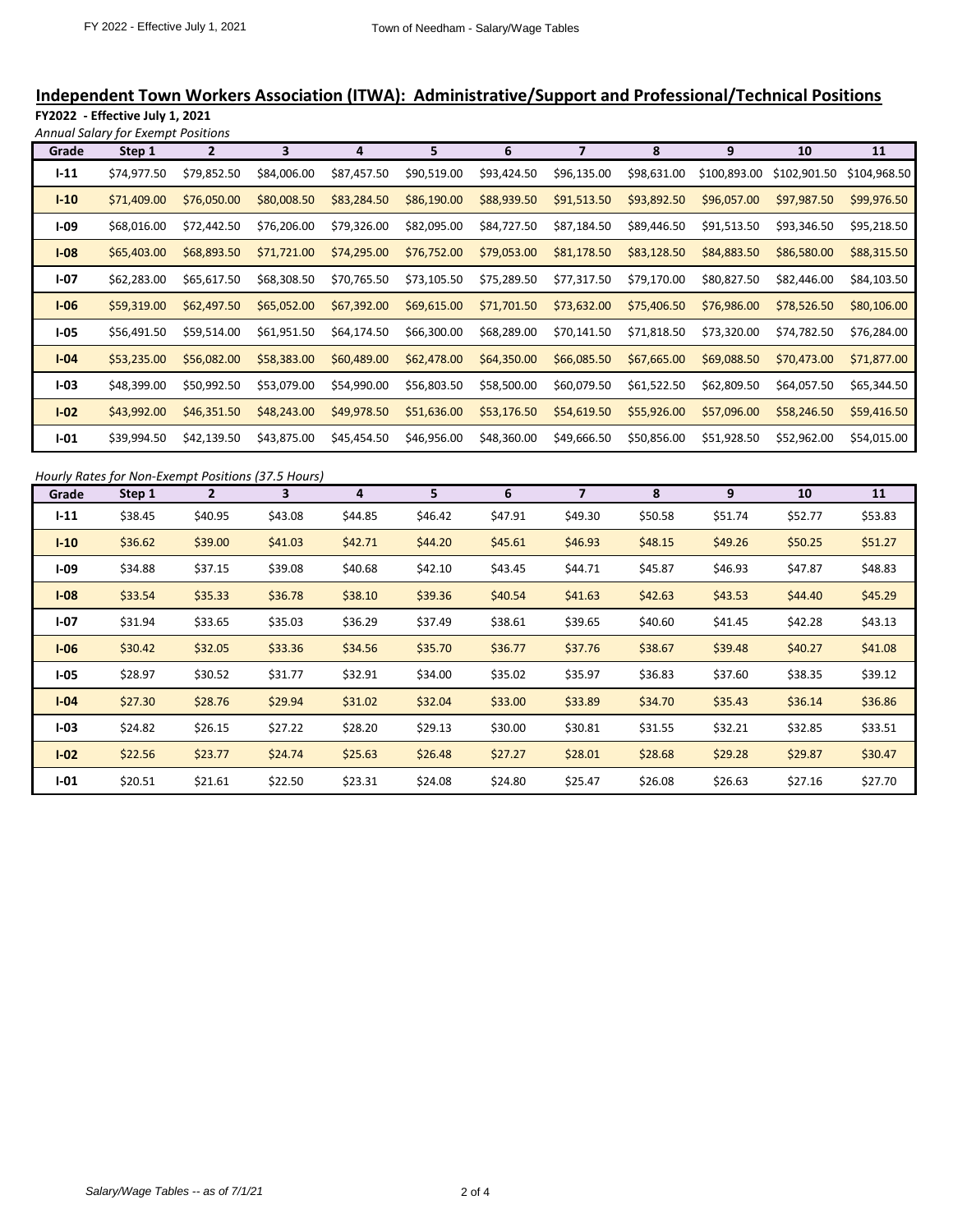# **Independent Town Workers Association (ITWA): Administrative/Support and Professional/Technical Positions**

**FY2022 - Effective July 1, 2021** *Annual Salary for Exempt Positions*

| Grade    | Step 1      | $\mathbf{2}$ | 3           | 4           | 5           | 6           |             | 8           | 9            | 10           | 11           |
|----------|-------------|--------------|-------------|-------------|-------------|-------------|-------------|-------------|--------------|--------------|--------------|
| $1 - 11$ | \$74,977.50 | \$79,852.50  | \$84,006.00 | \$87,457.50 | \$90,519.00 | \$93,424.50 | \$96,135.00 | \$98,631.00 | \$100,893.00 | \$102,901.50 | \$104,968.50 |
| $I-10$   | \$71,409.00 | \$76,050.00  | \$80,008.50 | \$83,284.50 | \$86,190.00 | \$88,939.50 | \$91,513.50 | \$93,892.50 | \$96,057.00  | \$97,987.50  | \$99,976.50  |
| $I-09$   | \$68,016.00 | \$72,442.50  | \$76,206.00 | \$79,326.00 | \$82,095.00 | \$84,727.50 | \$87,184.50 | \$89,446.50 | \$91,513.50  | \$93,346.50  | \$95,218.50  |
| $I-08$   | \$65,403.00 | \$68,893.50  | \$71,721.00 | \$74,295.00 | \$76,752.00 | \$79,053.00 | \$81,178.50 | \$83,128.50 | \$84,883.50  | \$86,580.00  | \$88,315.50  |
| $I-07$   | \$62,283.00 | \$65,617.50  | \$68,308.50 | \$70,765.50 | \$73,105.50 | \$75,289.50 | \$77,317.50 | \$79,170.00 | \$80,827.50  | \$82,446.00  | \$84,103.50  |
| $I-06$   | \$59,319.00 | \$62,497.50  | \$65,052.00 | \$67,392.00 | \$69,615.00 | \$71,701.50 | \$73,632.00 | \$75,406.50 | \$76,986.00  | \$78,526.50  | \$80,106.00  |
| $I-05$   | \$56,491.50 | \$59,514.00  | \$61,951.50 | \$64,174.50 | \$66,300.00 | \$68,289.00 | \$70,141.50 | \$71,818.50 | \$73,320.00  | \$74,782.50  | \$76,284.00  |
| $I-04$   | \$53,235.00 | \$56,082.00  | \$58,383.00 | \$60,489.00 | \$62,478.00 | \$64,350.00 | \$66,085.50 | \$67,665.00 | \$69,088.50  | \$70,473.00  | \$71,877.00  |
| $I-03$   | \$48,399.00 | \$50,992.50  | \$53,079.00 | \$54,990.00 | \$56,803.50 | \$58,500.00 | \$60,079.50 | \$61,522.50 | \$62,809.50  | \$64,057.50  | \$65,344.50  |
| $I-02$   | \$43,992.00 | \$46,351.50  | \$48,243.00 | \$49,978.50 | \$51,636.00 | \$53,176.50 | \$54,619.50 | \$55,926.00 | \$57,096.00  | \$58,246.50  | \$59,416.50  |
| $I-01$   | \$39,994.50 | \$42,139.50  | \$43,875.00 | \$45,454.50 | \$46,956.00 | \$48,360.00 | \$49,666.50 | \$50,856.00 | \$51,928.50  | \$52,962.00  | \$54,015.00  |

|  | Hourly Rates for Non-Exempt Positions (37.5 Hours) |  |
|--|----------------------------------------------------|--|
|--|----------------------------------------------------|--|

| Grade    | Step 1  | $\overline{2}$ | 3       | 4       | 5       | 6       | 7       | 8       | 9       | 10      | 11      |
|----------|---------|----------------|---------|---------|---------|---------|---------|---------|---------|---------|---------|
| $1 - 11$ | \$38.45 | \$40.95        | \$43.08 | \$44.85 | \$46.42 | \$47.91 | \$49.30 | \$50.58 | \$51.74 | \$52.77 | \$53.83 |
| $I-10$   | \$36.62 | \$39.00        | \$41.03 | \$42.71 | \$44.20 | \$45.61 | \$46.93 | \$48.15 | \$49.26 | \$50.25 | \$51.27 |
| $I-09$   | \$34.88 | \$37.15        | \$39.08 | \$40.68 | \$42.10 | \$43.45 | \$44.71 | \$45.87 | \$46.93 | \$47.87 | \$48.83 |
| $I-08$   | \$33.54 | \$35.33        | \$36.78 | \$38.10 | \$39.36 | \$40.54 | \$41.63 | \$42.63 | \$43.53 | \$44.40 | \$45.29 |
| $I-07$   | \$31.94 | \$33.65        | \$35.03 | \$36.29 | \$37.49 | \$38.61 | \$39.65 | \$40.60 | \$41.45 | \$42.28 | \$43.13 |
| $I-06$   | \$30.42 | \$32.05        | \$33.36 | \$34.56 | \$35.70 | \$36.77 | \$37.76 | \$38.67 | \$39.48 | \$40.27 | \$41.08 |
| $I-05$   | \$28.97 | \$30.52        | \$31.77 | \$32.91 | \$34.00 | \$35.02 | \$35.97 | \$36.83 | \$37.60 | \$38.35 | \$39.12 |
| $I-04$   | \$27.30 | \$28.76        | \$29.94 | \$31.02 | \$32.04 | \$33.00 | \$33.89 | \$34.70 | \$35.43 | \$36.14 | \$36.86 |
| $I-03$   | \$24.82 | \$26.15        | \$27.22 | \$28.20 | \$29.13 | \$30.00 | \$30.81 | \$31.55 | \$32.21 | \$32.85 | \$33.51 |
| $I-02$   | \$22.56 | \$23.77        | \$24.74 | \$25.63 | \$26.48 | \$27.27 | \$28.01 | \$28.68 | \$29.28 | \$29.87 | \$30.47 |
| $I - 01$ | \$20.51 | \$21.61        | \$22.50 | \$23.31 | \$24.08 | \$24.80 | \$25.47 | \$26.08 | \$26.63 | \$27.16 | \$27.70 |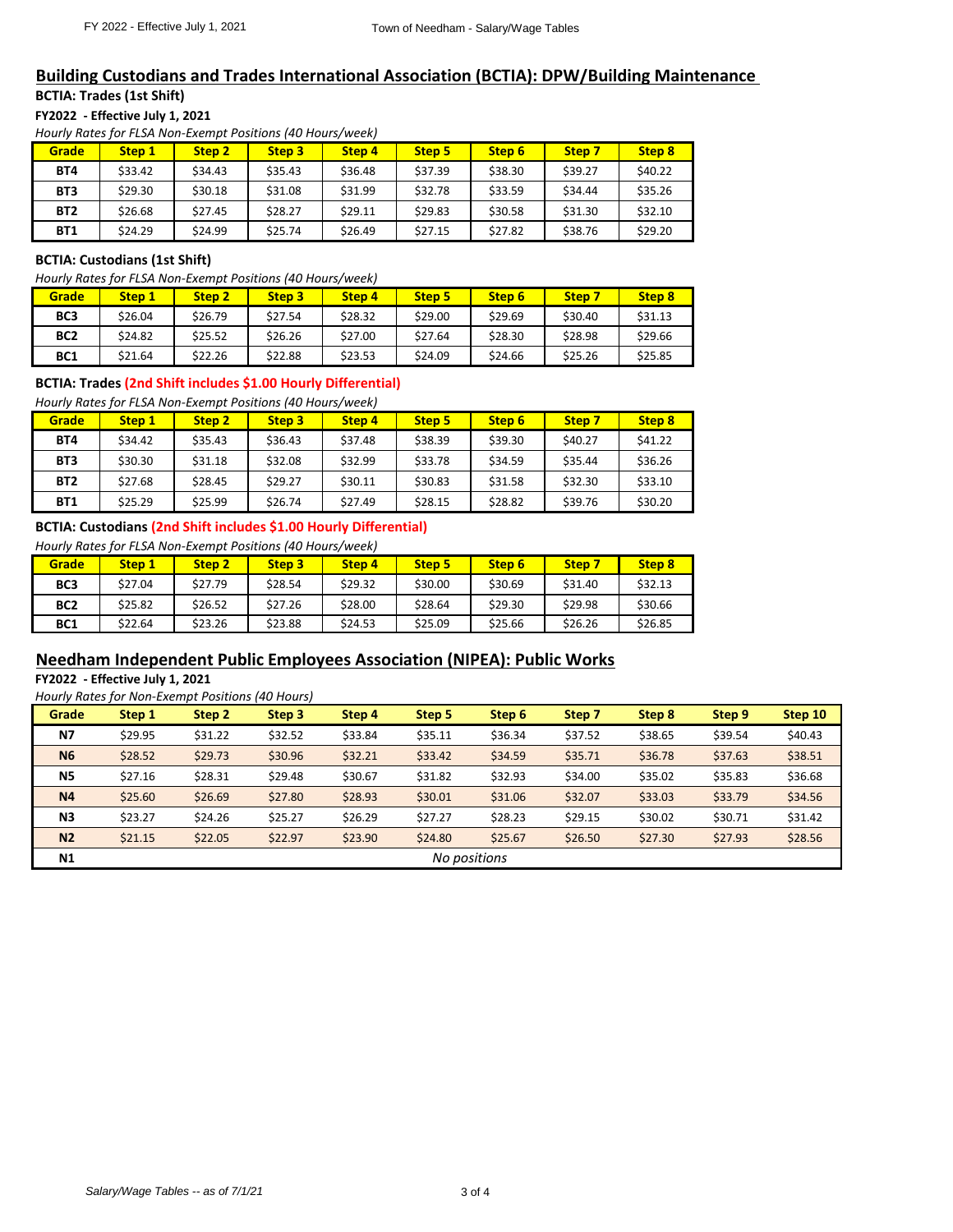## **Building Custodians and Trades International Association (BCTIA): DPW/Building Maintenance BCTIA: Trades (1st Shift)**

**FY2022 - Effective July 1, 2021**

*Hourly Rates for FLSA Non-Exempt Positions (40 Hours/week)*

| Grade           | Step 1  | Step 2  | Step <sub>3</sub> | Step 4  | Step 5  | Step 6  | Step 7  | Step 8  |
|-----------------|---------|---------|-------------------|---------|---------|---------|---------|---------|
| <b>BT4</b>      | \$33.42 | \$34.43 | \$35.43           | \$36.48 | \$37.39 | \$38.30 | \$39.27 | \$40.22 |
| BT <sub>3</sub> | \$29.30 | \$30.18 | \$31.08           | \$31.99 | \$32.78 | \$33.59 | \$34.44 | \$35.26 |
| <b>BT2</b>      | \$26.68 | \$27.45 | \$28.27           | \$29.11 | \$29.83 | \$30.58 | \$31.30 | \$32.10 |
| <b>BT1</b>      | \$24.29 | \$24.99 | \$25.74           | \$26.49 | \$27.15 | \$27.82 | \$38.76 | \$29.20 |

## **BCTIA: Custodians (1st Shift)**

*Hourly Rates for FLSA Non-Exempt Positions (40 Hours/week)*

| Grade           | Step 1  | Step <sub>2</sub> | Step 3  | Step <sub>4</sub> | <b>Step 5</b> | Step 6  | Step 7  | Step 8  |
|-----------------|---------|-------------------|---------|-------------------|---------------|---------|---------|---------|
| BC <sub>3</sub> | \$26.04 | \$26.79           | \$27.54 | \$28.32           | \$29.00       | \$29.69 | \$30.40 | \$31.13 |
| BC <sub>2</sub> | \$24.82 | \$25.52           | \$26.26 | \$27.00           | \$27.64       | \$28.30 | \$28.98 | \$29.66 |
| BC <sub>1</sub> | \$21.64 | \$22.26           | \$22.88 | \$23.53           | \$24.09       | \$24.66 | \$25.26 | \$25.85 |

### **BCTIA: Trades (2nd Shift includes \$1.00 Hourly Differential)**

*Hourly Rates for FLSA Non-Exempt Positions (40 Hours/week)*

| Grade           | Step 1  | Step 2  | Step <sub>3</sub> | Step 4  | <b>Step 5</b> | Step 6  | Step 7             | Step 8  |
|-----------------|---------|---------|-------------------|---------|---------------|---------|--------------------|---------|
| <b>BT4</b>      | \$34.42 | \$35.43 | \$36.43           | \$37.48 | \$38.39       | \$39.30 | S <sub>40.27</sub> | \$41.22 |
| BT <sub>3</sub> | \$30.30 | \$31.18 | \$32.08           | \$32.99 | \$33.78       | \$34.59 | \$35.44            | \$36.26 |
| <b>BT2</b>      | \$27.68 | \$28.45 | \$29.27           | \$30.11 | \$30.83       | \$31.58 | \$32.30            | \$33.10 |
| <b>BT1</b>      | \$25.29 | \$25.99 | \$26.74           | \$27.49 | \$28.15       | \$28.82 | \$39.76            | \$30.20 |

#### **BCTIA: Custodians (2nd Shift includes \$1.00 Hourly Differential)**

*Hourly Rates for FLSA Non-Exempt Positions (40 Hours/week)*

| Grade           | Step 1  | Step <sub>2</sub> | Step <sub>3</sub> | Step 4  | <b>Step 5</b> | Step 6  | Step 7  | Step 8  |
|-----------------|---------|-------------------|-------------------|---------|---------------|---------|---------|---------|
| BC <sub>3</sub> | \$27.04 | \$27.79           | \$28.54           | \$29.32 | \$30.00       | \$30.69 | \$31.40 | \$32.13 |
| BC <sub>2</sub> | \$25.82 | \$26.52           | \$27.26           | \$28.00 | \$28.64       | \$29.30 | \$29.98 | \$30.66 |
| BC <sub>1</sub> | \$22.64 | \$23.26           | \$23.88           | \$24.53 | \$25.09       | \$25.66 | \$26.26 | \$26.85 |

## **Needham Independent Public Employees Association (NIPEA): Public Works**

**FY2022 - Effective July 1, 2021**

|  | Hourly Rates for Non-Exempt Positions (40 Hours) |  |
|--|--------------------------------------------------|--|
|--|--------------------------------------------------|--|

| Grade          | Step 1       | Step 2  | Step 3  | Step 4  | Step 5  | Step 6  | Step 7  | Step 8  | Step 9  | Step 10 |
|----------------|--------------|---------|---------|---------|---------|---------|---------|---------|---------|---------|
| <b>N7</b>      | \$29.95      | \$31.22 | \$32.52 | \$33.84 | \$35.11 | \$36.34 | \$37.52 | \$38.65 | \$39.54 | \$40.43 |
| <b>N6</b>      | \$28.52      | \$29.73 | \$30.96 | \$32.21 | \$33.42 | \$34.59 | \$35.71 | \$36.78 | \$37.63 | \$38.51 |
| N <sub>5</sub> | \$27.16      | \$28.31 | \$29.48 | \$30.67 | \$31.82 | \$32.93 | \$34.00 | \$35.02 | \$35.83 | \$36.68 |
| N <sub>4</sub> | \$25.60      | \$26.69 | \$27.80 | \$28.93 | \$30.01 | \$31.06 | \$32.07 | \$33.03 | \$33.79 | \$34.56 |
| N <sub>3</sub> | \$23.27      | \$24.26 | \$25.27 | \$26.29 | \$27.27 | \$28.23 | \$29.15 | \$30.02 | \$30.71 | \$31.42 |
| N <sub>2</sub> | \$21.15      | \$22.05 | \$22.97 | \$23.90 | \$24.80 | \$25.67 | \$26.50 | \$27.30 | \$27.93 | \$28.56 |
| N <sub>1</sub> | No positions |         |         |         |         |         |         |         |         |         |